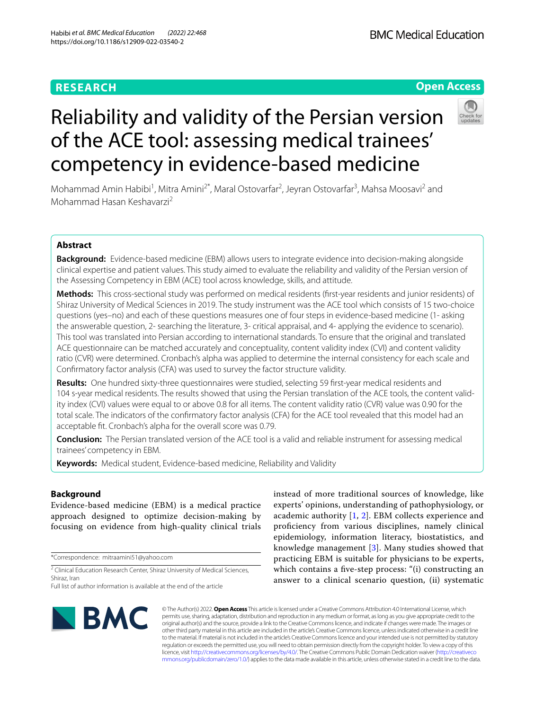# **RESEARCH**

# **Open Access**



# Reliability and validity of the Persian version of the ACE tool: assessing medical trainees' competency in evidence-based medicine

Mohammad Amin Habibi<sup>1</sup>, Mitra Amini<sup>2\*</sup>, Maral Ostovarfar<sup>2</sup>, Jeyran Ostovarfar<sup>3</sup>, Mahsa Moosavi<sup>2</sup> and Mohammad Hasan Keshavarzi2

# **Abstract**

**Background:** Evidence-based medicine (EBM) allows users to integrate evidence into decision-making alongside clinical expertise and patient values. This study aimed to evaluate the reliability and validity of the Persian version of the Assessing Competency in EBM (ACE) tool across knowledge, skills, and attitude.

**Methods:** This cross-sectional study was performed on medical residents (frst-year residents and junior residents) of Shiraz University of Medical Sciences in 2019. The study instrument was the ACE tool which consists of 15 two-choice questions (yes–no) and each of these questions measures one of four steps in evidence-based medicine (1- asking the answerable question, 2- searching the literature, 3- critical appraisal, and 4- applying the evidence to scenario). This tool was translated into Persian according to international standards. To ensure that the original and translated ACE questionnaire can be matched accurately and conceptuality, content validity index (CVI) and content validity ratio (CVR) were determined. Cronbach's alpha was applied to determine the internal consistency for each scale and Confrmatory factor analysis (CFA) was used to survey the factor structure validity.

**Results:** One hundred sixty-three questionnaires were studied, selecting 59 frst-year medical residents and 104 s-year medical residents. The results showed that using the Persian translation of the ACE tools, the content validity index (CVI) values were equal to or above 0.8 for all items. The content validity ratio (CVR) value was 0.90 for the total scale. The indicators of the confrmatory factor analysis (CFA) for the ACE tool revealed that this model had an acceptable ft. Cronbach's alpha for the overall score was 0.79.

**Conclusion:** The Persian translated version of the ACE tool is a valid and reliable instrument for assessing medical trainees' competency in EBM.

**Keywords:** Medical student, Evidence-based medicine, Reliability and Validity

# **Background**

Evidence-based medicine (EBM) is a medical practice approach designed to optimize decision-making by focusing on evidence from high-quality clinical trials

\*Correspondence: mitraamini51@yahoo.com

<sup>2</sup> Clinical Education Research Center, Shiraz University of Medical Sciences, Shiraz, Iran

Full list of author information is available at the end of the article

instead of more traditional sources of knowledge, like experts' opinions, understanding of pathophysiology, or academic authority [\[1](#page-4-0), [2](#page-4-1)]. EBM collects experience and profciency from various disciplines, namely clinical epidemiology, information literacy, biostatistics, and knowledge management [[3\]](#page-4-2). Many studies showed that practicing EBM is suitable for physicians to be experts, which contains a fve-step process: "(i) constructing an answer to a clinical scenario question, (ii) systematic



© The Author(s) 2022. **Open Access** This article is licensed under a Creative Commons Attribution 4.0 International License, which permits use, sharing, adaptation, distribution and reproduction in any medium or format, as long as you give appropriate credit to the original author(s) and the source, provide a link to the Creative Commons licence, and indicate if changes were made. The images or other third party material in this article are included in the article's Creative Commons licence, unless indicated otherwise in a credit line to the material. If material is not included in the article's Creative Commons licence and your intended use is not permitted by statutory regulation or exceeds the permitted use, you will need to obtain permission directly from the copyright holder. To view a copy of this licence, visit [http://creativecommons.org/licenses/by/4.0/.](http://creativecommons.org/licenses/by/4.0/) The Creative Commons Public Domain Dedication waiver ([http://creativeco](http://creativecommons.org/publicdomain/zero/1.0/) [mmons.org/publicdomain/zero/1.0/](http://creativecommons.org/publicdomain/zero/1.0/)) applies to the data made available in this article, unless otherwise stated in a credit line to the data.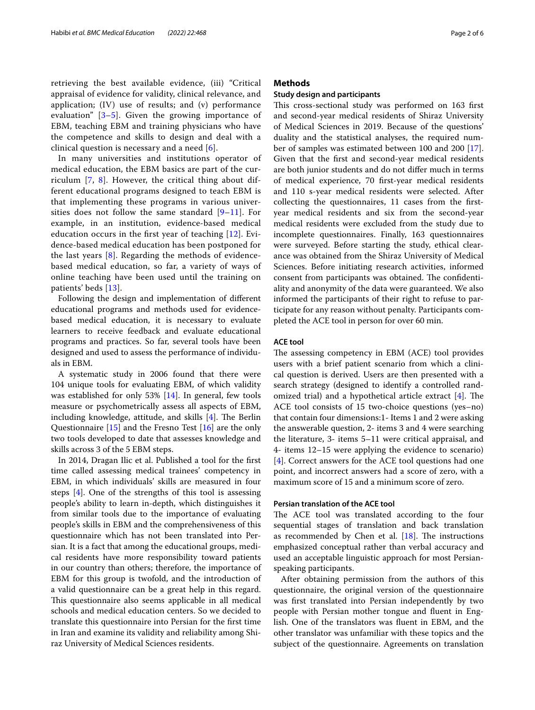retrieving the best available evidence, (iii) "Critical appraisal of evidence for validity, clinical relevance, and application; (IV) use of results; and (v) performance evaluation"  $[3-5]$  $[3-5]$ . Given the growing importance of EBM, teaching EBM and training physicians who have the competence and skills to design and deal with a clinical question is necessary and a need  $[6]$  $[6]$  $[6]$ .

In many universities and institutions operator of medical education, the EBM basics are part of the curriculum [[7,](#page-5-2) [8\]](#page-5-3). However, the critical thing about different educational programs designed to teach EBM is that implementing these programs in various universities does not follow the same standard  $[9-11]$  $[9-11]$  $[9-11]$  $[9-11]$  $[9-11]$ . For example, in an institution, evidence-based medical education occurs in the frst year of teaching [[12](#page-5-6)]. Evidence-based medical education has been postponed for the last years [\[8\]](#page-5-3). Regarding the methods of evidencebased medical education, so far, a variety of ways of online teaching have been used until the training on patients' beds [\[13](#page-5-7)].

Following the design and implementation of diferent educational programs and methods used for evidencebased medical education, it is necessary to evaluate learners to receive feedback and evaluate educational programs and practices. So far, several tools have been designed and used to assess the performance of individuals in EBM.

A systematic study in 2006 found that there were 104 unique tools for evaluating EBM, of which validity was established for only 53% [\[14](#page-5-8)]. In general, few tools measure or psychometrically assess all aspects of EBM, including knowledge, attitude, and skills  $[4]$  $[4]$  $[4]$ . The Berlin Questionnaire [\[15](#page-5-10)] and the Fresno Test [\[16](#page-5-11)] are the only two tools developed to date that assesses knowledge and skills across 3 of the 5 EBM steps.

In 2014, Dragan Ilic et al. Published a tool for the frst time called assessing medical trainees' competency in EBM, in which individuals' skills are measured in four steps [[4](#page-5-9)]. One of the strengths of this tool is assessing people's ability to learn in-depth, which distinguishes it from similar tools due to the importance of evaluating people's skills in EBM and the comprehensiveness of this questionnaire which has not been translated into Persian. It is a fact that among the educational groups, medical residents have more responsibility toward patients in our country than others; therefore, the importance of EBM for this group is twofold, and the introduction of a valid questionnaire can be a great help in this regard. This questionnaire also seems applicable in all medical schools and medical education centers. So we decided to translate this questionnaire into Persian for the frst time in Iran and examine its validity and reliability among Shiraz University of Medical Sciences residents.

# **Methods**

# **Study design and participants**

This cross-sectional study was performed on 163 first and second-year medical residents of Shiraz University of Medical Sciences in 2019. Because of the questions' duality and the statistical analyses, the required number of samples was estimated between 100 and 200 [\[17](#page-5-12)]. Given that the frst and second-year medical residents are both junior students and do not difer much in terms of medical experience, 70 frst-year medical residents and 110 s-year medical residents were selected. After collecting the questionnaires, 11 cases from the frstyear medical residents and six from the second-year medical residents were excluded from the study due to incomplete questionnaires. Finally, 163 questionnaires were surveyed. Before starting the study, ethical clearance was obtained from the Shiraz University of Medical Sciences. Before initiating research activities, informed consent from participants was obtained. The confidentiality and anonymity of the data were guaranteed. We also informed the participants of their right to refuse to participate for any reason without penalty. Participants completed the ACE tool in person for over 60 min.

# **ACE tool**

The assessing competency in EBM (ACE) tool provides users with a brief patient scenario from which a clinical question is derived. Users are then presented with a search strategy (designed to identify a controlled randomized trial) and a hypothetical article extract  $[4]$ . The ACE tool consists of 15 two-choice questions (yes–no) that contain four dimensions:1- Items 1 and 2 were asking the answerable question, 2- items 3 and 4 were searching the literature, 3- items 5–11 were critical appraisal, and 4- items 12–15 were applying the evidence to scenario) [[4\]](#page-5-9). Correct answers for the ACE tool questions had one point, and incorrect answers had a score of zero, with a maximum score of 15 and a minimum score of zero.

# **Persian translation of the ACE tool**

The ACE tool was translated according to the four sequential stages of translation and back translation as recommended by Chen et al.  $[18]$  $[18]$ . The instructions emphasized conceptual rather than verbal accuracy and used an acceptable linguistic approach for most Persianspeaking participants.

After obtaining permission from the authors of this questionnaire, the original version of the questionnaire was frst translated into Persian independently by two people with Persian mother tongue and fuent in English. One of the translators was fuent in EBM, and the other translator was unfamiliar with these topics and the subject of the questionnaire. Agreements on translation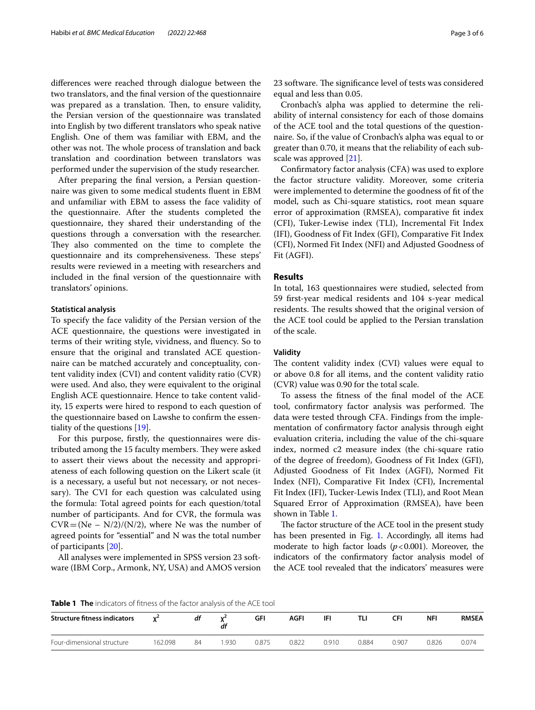diferences were reached through dialogue between the two translators, and the fnal version of the questionnaire was prepared as a translation. Then, to ensure validity, the Persian version of the questionnaire was translated into English by two diferent translators who speak native English. One of them was familiar with EBM, and the other was not. The whole process of translation and back translation and coordination between translators was performed under the supervision of the study researcher.

After preparing the fnal version, a Persian questionnaire was given to some medical students fuent in EBM and unfamiliar with EBM to assess the face validity of the questionnaire. After the students completed the questionnaire, they shared their understanding of the questions through a conversation with the researcher. They also commented on the time to complete the questionnaire and its comprehensiveness. These steps' results were reviewed in a meeting with researchers and included in the fnal version of the questionnaire with translators' opinions.

# **Statistical analysis**

To specify the face validity of the Persian version of the ACE questionnaire, the questions were investigated in terms of their writing style, vividness, and fuency. So to ensure that the original and translated ACE questionnaire can be matched accurately and conceptuality, content validity index (CVI) and content validity ratio (CVR) were used. And also, they were equivalent to the original English ACE questionnaire. Hence to take content validity, 15 experts were hired to respond to each question of the questionnaire based on Lawshe to confrm the essentiality of the questions [[19\]](#page-5-14).

For this purpose, frstly, the questionnaires were distributed among the 15 faculty members. They were asked to assert their views about the necessity and appropriateness of each following question on the Likert scale (it is a necessary, a useful but not necessary, or not necessary). The CVI for each question was calculated using the formula: Total agreed points for each question/total number of participants. And for CVR, the formula was  $CVR = (Ne - N/2)/(N/2)$ , where Ne was the number of agreed points for "essential" and N was the total number of participants [[20](#page-5-15)].

All analyses were implemented in SPSS version 23 software (IBM Corp., Armonk, NY, USA) and AMOS version 23 software. The significance level of tests was considered equal and less than 0.05.

Cronbach's alpha was applied to determine the reliability of internal consistency for each of those domains of the ACE tool and the total questions of the questionnaire. So, if the value of Cronbach's alpha was equal to or greater than 0.70, it means that the reliability of each subscale was approved [\[21](#page-5-16)].

Confrmatory factor analysis (CFA) was used to explore the factor structure validity. Moreover, some criteria were implemented to determine the goodness of ft of the model, such as Chi-square statistics, root mean square error of approximation (RMSEA), comparative ft index (CFI), Tuker-Lewise index (TLI), Incremental Fit Index (IFI), Goodness of Fit Index (GFI), Comparative Fit Index (CFI), Normed Fit Index (NFI) and Adjusted Goodness of Fit (AGFI).

# **Results**

In total, 163 questionnaires were studied, selected from 59 frst-year medical residents and 104 s-year medical residents. The results showed that the original version of the ACE tool could be applied to the Persian translation of the scale.

# **Validity**

The content validity index  $(CVI)$  values were equal to or above 0.8 for all items, and the content validity ratio (CVR) value was 0.90 for the total scale.

To assess the ftness of the fnal model of the ACE tool, confirmatory factor analysis was performed. The data were tested through CFA. Findings from the implementation of confrmatory factor analysis through eight evaluation criteria, including the value of the chi-square index, normed c2 measure index (the chi-square ratio of the degree of freedom), Goodness of Fit Index (GFI), Adjusted Goodness of Fit Index (AGFI), Normed Fit Index (NFI), Comparative Fit Index (CFI), Incremental Fit Index (IFI), Tucker-Lewis Index (TLI), and Root Mean Squared Error of Approximation (RMSEA), have been shown in Table [1.](#page-2-0)

The factor structure of the ACE tool in the present study has been presented in Fig. [1](#page-3-0). Accordingly, all items had moderate to high factor loads (*p*<0.001). Moreover, the indicators of the confrmatory factor analysis model of the ACE tool revealed that the indicators' measures were

<span id="page-2-0"></span>**Table 1 The** indicators of ftness of the factor analysis of the ACE tool

| <b>Structure fitness indicators</b> |         | df | $\mathbf{v}$<br>df | GFI   | <b>AGFI</b> | IFI   |       | CFI   | <b>NFI</b> | <b>RMSEA</b> |
|-------------------------------------|---------|----|--------------------|-------|-------------|-------|-------|-------|------------|--------------|
| Four-dimensional structure          | 162.098 | 84 | .930               | 0.875 | 0.822       | 0.910 | 0.884 | 0.907 | 0.826      | 0.074        |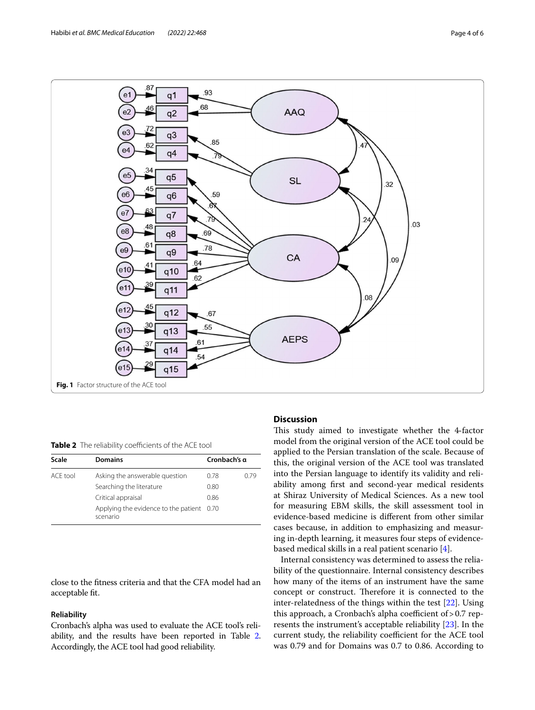

<span id="page-3-1"></span><span id="page-3-0"></span>**Table 2** The reliability coefficients of the ACE tool

| Scale    | <b>Domains</b>                                        | Cronbach's q |      |  |
|----------|-------------------------------------------------------|--------------|------|--|
| ACF tool | Asking the answerable question                        | 0.78         | 0.79 |  |
|          | Searching the literature                              | 0.80         |      |  |
|          | Critical appraisal                                    | 0.86         |      |  |
|          | Applying the evidence to the patient 0.70<br>scenario |              |      |  |

close to the ftness criteria and that the CFA model had an acceptable ft.

# **Reliability**

Cronbach's alpha was used to evaluate the ACE tool's reliability, and the results have been reported in Table [2](#page-3-1). Accordingly, the ACE tool had good reliability.

# **Discussion**

This study aimed to investigate whether the 4-factor model from the original version of the ACE tool could be applied to the Persian translation of the scale. Because of this, the original version of the ACE tool was translated into the Persian language to identify its validity and reliability among frst and second-year medical residents at Shiraz University of Medical Sciences. As a new tool for measuring EBM skills, the skill assessment tool in evidence-based medicine is diferent from other similar cases because, in addition to emphasizing and measuring in-depth learning, it measures four steps of evidencebased medical skills in a real patient scenario [\[4\]](#page-5-9).

Internal consistency was determined to assess the reliability of the questionnaire. Internal consistency describes how many of the items of an instrument have the same concept or construct. Therefore it is connected to the inter-relatedness of the things within the test [[22\]](#page-5-17). Using this approach, a Cronbach's alpha coefficient of  $> 0.7$  represents the instrument's acceptable reliability [[23\]](#page-5-18). In the current study, the reliability coefficient for the ACE tool was 0.79 and for Domains was 0.7 to 0.86. According to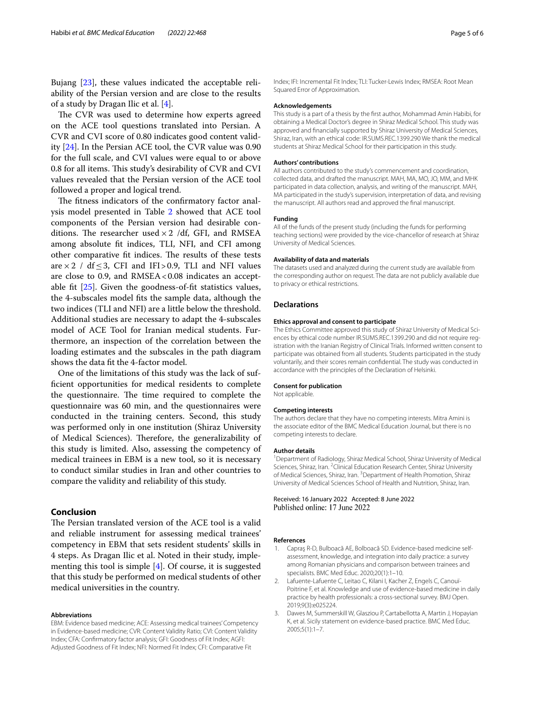Bujang [\[23](#page-5-18)], these values indicated the acceptable reliability of the Persian version and are close to the results of a study by Dragan Ilic et al. [[4\]](#page-5-9).

The CVR was used to determine how experts agreed on the ACE tool questions translated into Persian. A CVR and CVI score of 0.80 indicates good content validity [[24\]](#page-5-19). In the Persian ACE tool, the CVR value was 0.90 for the full scale, and CVI values were equal to or above 0.8 for all items. This study's desirability of CVR and CVI values revealed that the Persian version of the ACE tool followed a proper and logical trend.

The fitness indicators of the confirmatory factor analysis model presented in Table [2](#page-3-1) showed that ACE tool components of the Persian version had desirable conditions. The researcher used  $\times$  2 /df, GFI, and RMSEA among absolute ft indices, TLI, NFI, and CFI among other comparative fit indices. The results of these tests are  $\times$  2 / df  $\leq$  3, CFI and IFI>0.9, TLI and NFI values are close to 0.9, and  $RMSEA < 0.08$  indicates an acceptable fit  $[25]$  $[25]$ . Given the goodness-of-fit statistics values, the 4-subscales model fts the sample data, although the two indices (TLI and NFI) are a little below the threshold. Additional studies are necessary to adapt the 4-subscales model of ACE Tool for Iranian medical students. Furthermore, an inspection of the correlation between the loading estimates and the subscales in the path diagram shows the data ft the 4-factor model.

One of the limitations of this study was the lack of suffcient opportunities for medical residents to complete the questionnaire. The time required to complete the questionnaire was 60 min, and the questionnaires were conducted in the training centers. Second, this study was performed only in one institution (Shiraz University of Medical Sciences). Therefore, the generalizability of this study is limited. Also, assessing the competency of medical trainees in EBM is a new tool, so it is necessary to conduct similar studies in Iran and other countries to compare the validity and reliability of this study.

# **Conclusion**

The Persian translated version of the ACE tool is a valid and reliable instrument for assessing medical trainees' competency in EBM that sets resident students' skills in 4 steps. As Dragan Ilic et al. Noted in their study, implementing this tool is simple [\[4](#page-5-9)]. Of course, it is suggested that this study be performed on medical students of other medical universities in the country.

## **Abbreviations**

EBM: Evidence based medicine; ACE: Assessing medical trainees' Competency in Evidence-based medicine; CVR: Content Validity Ratio; CVI: Content Validity Index; CFA: Confrmatory factor analysis; GFI: Goodness of Fit Index; AGFI: Adjusted Goodness of Fit Index; NFI: Normed Fit Index; CFI: Comparative Fit

Index; IFI: Incremental Fit Index; TLI: Tucker-Lewis Index; RMSEA: Root Mean Squared Error of Approximation.

## **Acknowledgements**

This study is a part of a thesis by the frst author, Mohammad Amin Habibi, for obtaining a Medical Doctor's degree in Shiraz Medical School. This study was approved and fnancially supported by Shiraz University of Medical Sciences, Shiraz, Iran, with an ethical code: IR.SUMS.REC.1399.290 We thank the medical students at Shiraz Medical School for their participation in this study.

#### **Authors' contributions**

All authors contributed to the study's commencement and coordination, collected data, and drafted the manuscript. MAH, MA, MO, JO, MM, and MHK participated in data collection, analysis, and writing of the manuscript. MAH, MA participated in the study's supervision, interpretation of data, and revising the manuscript. All authors read and approved the fnal manuscript.

# **Funding**

All of the funds of the present study (including the funds for performing teaching sections) were provided by the vice-chancellor of research at Shiraz University of Medical Sciences.

#### **Availability of data and materials**

The datasets used and analyzed during the current study are available from the corresponding author on request. The data are not publicly available due to privacy or ethical restrictions.

## **Declarations**

#### **Ethics approval and consent to participate**

The Ethics Committee approved this study of Shiraz University of Medical Sciences by ethical code number IR.SUMS.REC.1399.290 and did not require registration with the Iranian Registry of Clinical Trials. Informed written consent to participate was obtained from all students. Students participated in the study voluntarily, and their scores remain confdential. The study was conducted in accordance with the principles of the Declaration of Helsinki.

#### **Consent for publication**

Not applicable.

#### **Competing interests**

The authors declare that they have no competing interests. Mitra Amini is the associate editor of the BMC Medical Education Journal, but there is no competing interests to declare.

#### **Author details**

<sup>1</sup> Department of Radiology, Shiraz Medical School, Shiraz University of Medical Sciences, Shiraz, Iran. <sup>2</sup> Clinical Education Research Center, Shiraz University of Medical Sciences, Shiraz, Iran. <sup>3</sup> Department of Health Promotion, Shiraz University of Medical Sciences School of Health and Nutrition, Shiraz, Iran.

Received: 16 January 2022 Accepted: 8 June 2022 Published online: 17 June 2022

#### **References**

- <span id="page-4-0"></span>1. Capraş R-D, Bulboacă AE, Bolboacă SD. Evidence-based medicine selfassessment, knowledge, and integration into daily practice: a survey among Romanian physicians and comparison between trainees and specialists. BMC Med Educ. 2020;20(1):1–10.
- <span id="page-4-1"></span>2. Lafuente-Lafuente C, Leitao C, Kilani I, Kacher Z, Engels C, Canouï-Poitrine F, et al. Knowledge and use of evidence-based medicine in daily practice by health professionals: a cross-sectional survey. BMJ Open. 2019;9(3):e025224.
- <span id="page-4-2"></span>3. Dawes M, Summerskill W, Glasziou P, Cartabellotta A, Martin J, Hopayian K, et al. Sicily statement on evidence-based practice. BMC Med Educ. 2005;5(1):1–7.